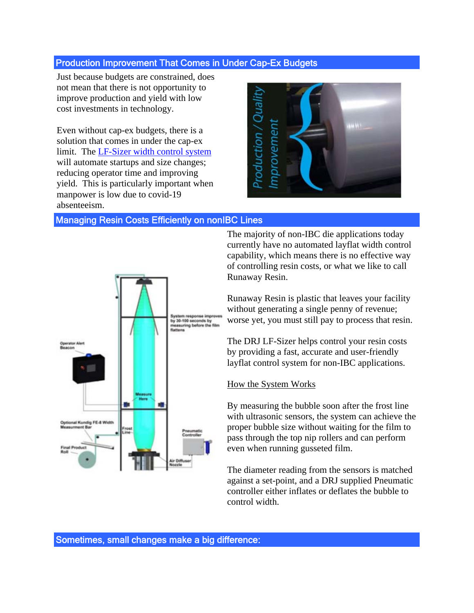## Production Improvement That Comes in Under Cap-Ex Budgets

Just because budgets are constrained, does not mean that there is not opportunity to improve production and yield with low cost investments in technology.

Even without cap-ex budgets, there is a solution that comes in under the cap-ex limit. The LF-Sizer width control system will automate startups and size changes; reducing operator time and improving yield. This is particularly important when manpower is low due to covid-19 absenteeism.



## Managing Resin Costs Efficiently on nonIBC Lines



The majority of non-IBC die applications today currently have no automated layflat width control capability, which means there is no effective way of controlling resin costs, or what we like to call Runaway Resin.

Runaway Resin is plastic that leaves your facility without generating a single penny of revenue; worse yet, you must still pay to process that resin.

The DRJ LF-Sizer helps control your resin costs by providing a fast, accurate and user-friendly layflat control system for non-IBC applications.

## How the System Works

By measuring the bubble soon after the frost line with ultrasonic sensors, the system can achieve the proper bubble size without waiting for the film to pass through the top nip rollers and can perform even when running gusseted film.

The diameter reading from the sensors is matched against a set-point, and a DRJ supplied Pneumatic controller either inflates or deflates the bubble to control width.